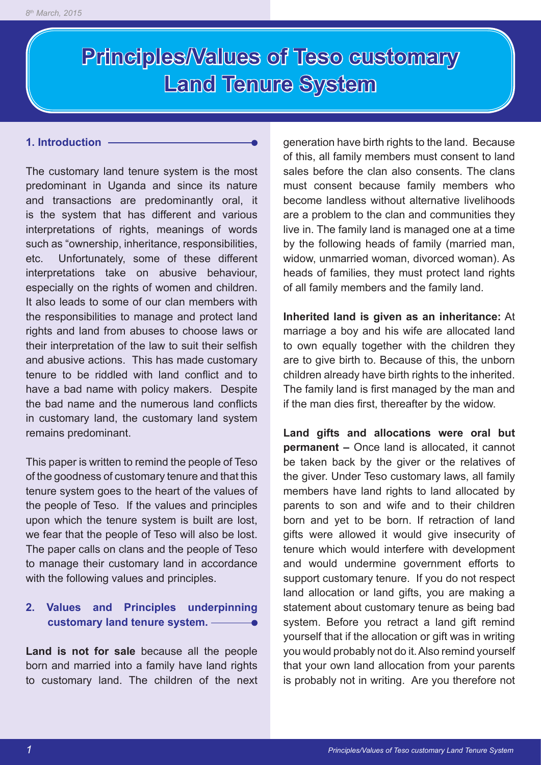# **Principles/Values of Teso customary Land Tenure System**

#### **1. Introduction**

The customary land tenure system is the most predominant in Uganda and since its nature and transactions are predominantly oral, it is the system that has different and various interpretations of rights, meanings of words such as "ownership, inheritance, responsibilities, etc. Unfortunately, some of these different interpretations take on abusive behaviour, especially on the rights of women and children. It also leads to some of our clan members with the responsibilities to manage and protect land rights and land from abuses to choose laws or their interpretation of the law to suit their selfish and abusive actions. This has made customary tenure to be riddled with land conflict and to have a bad name with policy makers. Despite the bad name and the numerous land conflicts in customary land, the customary land system remains predominant.

This paper is written to remind the people of Teso of the goodness of customary tenure and that this tenure system goes to the heart of the values of the people of Teso. If the values and principles upon which the tenure system is built are lost, we fear that the people of Teso will also be lost. The paper calls on clans and the people of Teso to manage their customary land in accordance with the following values and principles.

## **2. Values and Principles underpinning customary land tenure system.**

**Land is not for sale** because all the people born and married into a family have land rights to customary land. The children of the next generation have birth rights to the land. Because of this, all family members must consent to land sales before the clan also consents. The clans must consent because family members who become landless without alternative livelihoods are a problem to the clan and communities they live in. The family land is managed one at a time by the following heads of family (married man, widow, unmarried woman, divorced woman). As heads of families, they must protect land rights of all family members and the family land.

**Inherited land is given as an inheritance:** At marriage a boy and his wife are allocated land to own equally together with the children they are to give birth to. Because of this, the unborn children already have birth rights to the inherited. The family land is first managed by the man and if the man dies first, thereafter by the widow.

**Land gifts and allocations were oral but permanent –** Once land is allocated, it cannot be taken back by the giver or the relatives of the giver. Under Teso customary laws, all family members have land rights to land allocated by parents to son and wife and to their children born and yet to be born. If retraction of land gifts were allowed it would give insecurity of tenure which would interfere with development and would undermine government efforts to support customary tenure. If you do not respect land allocation or land gifts, you are making a statement about customary tenure as being bad system. Before you retract a land gift remind yourself that if the allocation or gift was in writing you would probably not do it. Also remind yourself that your own land allocation from your parents is probably not in writing. Are you therefore not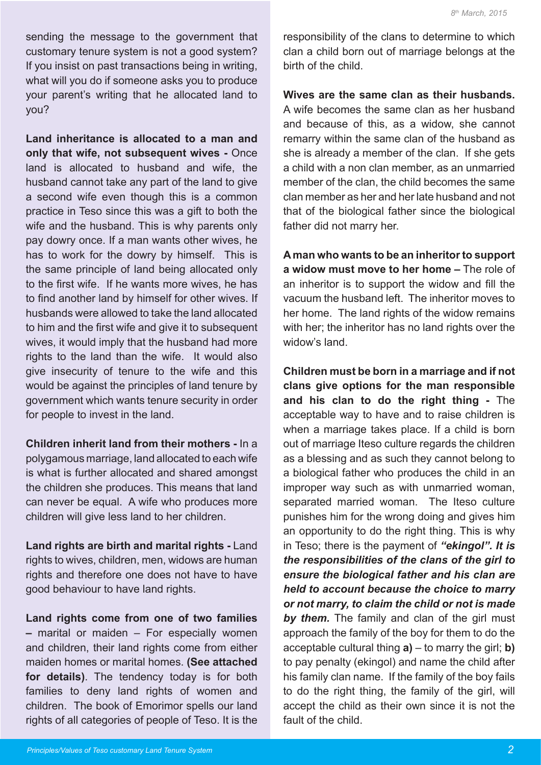sending the message to the government that customary tenure system is not a good system? If you insist on past transactions being in writing, what will you do if someone asks you to produce your parent's writing that he allocated land to you?

**Land inheritance is allocated to a man and only that wife, not subsequent wives -** Once land is allocated to husband and wife, the husband cannot take any part of the land to give a second wife even though this is a common practice in Teso since this was a gift to both the wife and the husband. This is why parents only pay dowry once. If a man wants other wives, he has to work for the dowry by himself. This is the same principle of land being allocated only to the first wife. If he wants more wives, he has to find another land by himself for other wives. If husbands were allowed to take the land allocated to him and the first wife and give it to subsequent wives, it would imply that the husband had more rights to the land than the wife. It would also give insecurity of tenure to the wife and this would be against the principles of land tenure by government which wants tenure security in order for people to invest in the land.

**Children inherit land from their mothers -** In a polygamous marriage, land allocated to each wife is what is further allocated and shared amongst the children she produces. This means that land can never be equal. A wife who produces more children will give less land to her children.

**Land rights are birth and marital rights -** Land rights to wives, children, men, widows are human rights and therefore one does not have to have good behaviour to have land rights.

**Land rights come from one of two families –** marital or maiden – For especially women and children, their land rights come from either maiden homes or marital homes. **(See attached for details)**. The tendency today is for both families to deny land rights of women and children. The book of Emorimor spells our land rights of all categories of people of Teso. It is the

responsibility of the clans to determine to which clan a child born out of marriage belongs at the birth of the child.

**Wives are the same clan as their husbands.** A wife becomes the same clan as her husband and because of this, as a widow, she cannot remarry within the same clan of the husband as she is already a member of the clan. If she gets a child with a non clan member, as an unmarried member of the clan, the child becomes the same clan member as her and her late husband and not that of the biological father since the biological father did not marry her.

**A man who wants to be an inheritor to support a widow must move to her home –** The role of an inheritor is to support the widow and fill the vacuum the husband left. The inheritor moves to her home. The land rights of the widow remains with her; the inheritor has no land rights over the widow's land

**Children must be born in a marriage and if not clans give options for the man responsible and his clan to do the right thing -** The acceptable way to have and to raise children is when a marriage takes place. If a child is born out of marriage Iteso culture regards the children as a blessing and as such they cannot belong to a biological father who produces the child in an improper way such as with unmarried woman, separated married woman. The Iteso culture punishes him for the wrong doing and gives him an opportunity to do the right thing. This is why in Teso; there is the payment of *"ekingol". It is the responsibilities of the clans of the girl to ensure the biological father and his clan are held to account because the choice to marry or not marry, to claim the child or not is made by them.* The family and clan of the girl must approach the family of the boy for them to do the acceptable cultural thing **a)** – to marry the girl; **b)**  to pay penalty (ekingol) and name the child after his family clan name. If the family of the boy fails to do the right thing, the family of the girl, will accept the child as their own since it is not the fault of the child.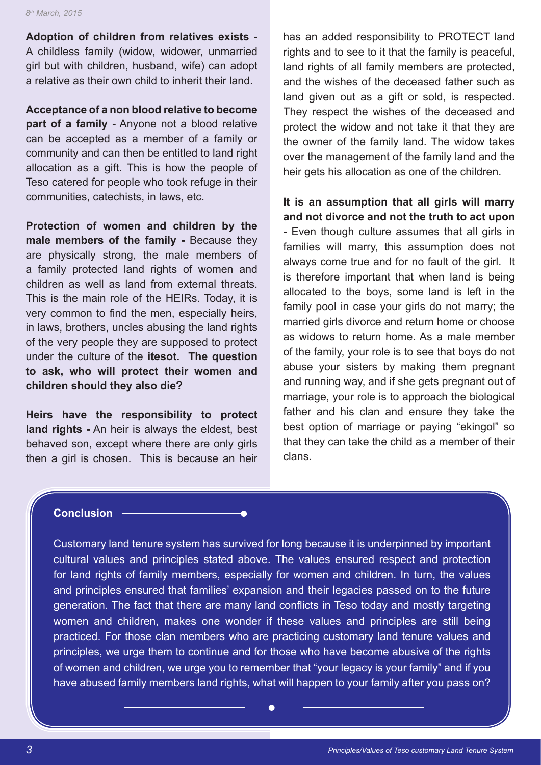**Adoption of children from relatives exists -** A childless family (widow, widower, unmarried girl but with children, husband, wife) can adopt a relative as their own child to inherit their land.

**Acceptance of a non blood relative to become part of a family -** Anyone not a blood relative can be accepted as a member of a family or community and can then be entitled to land right allocation as a gift. This is how the people of Teso catered for people who took refuge in their communities, catechists, in laws, etc.

**Protection of women and children by the male members of the family -** Because they are physically strong, the male members of a family protected land rights of women and children as well as land from external threats. This is the main role of the HEIRs. Today, it is very common to find the men, especially heirs, in laws, brothers, uncles abusing the land rights of the very people they are supposed to protect under the culture of the **itesot. The question to ask, who will protect their women and children should they also die?**

**Heirs have the responsibility to protect land rights -** An heir is always the eldest, best behaved son, except where there are only girls then a girl is chosen. This is because an heir has an added responsibility to PROTECT land rights and to see to it that the family is peaceful, land rights of all family members are protected, and the wishes of the deceased father such as land given out as a gift or sold, is respected. They respect the wishes of the deceased and protect the widow and not take it that they are the owner of the family land. The widow takes over the management of the family land and the heir gets his allocation as one of the children.

**It is an assumption that all girls will marry and not divorce and not the truth to act upon** 

**-** Even though culture assumes that all girls in families will marry, this assumption does not always come true and for no fault of the girl. It is therefore important that when land is being allocated to the boys, some land is left in the family pool in case your girls do not marry; the married girls divorce and return home or choose as widows to return home. As a male member of the family, your role is to see that boys do not abuse your sisters by making them pregnant and running way, and if she gets pregnant out of marriage, your role is to approach the biological father and his clan and ensure they take the best option of marriage or paying "ekingol" so that they can take the child as a member of their clans.

### **Conclusion**

Customary land tenure system has survived for long because it is underpinned by important cultural values and principles stated above. The values ensured respect and protection for land rights of family members, especially for women and children. In turn, the values and principles ensured that families' expansion and their legacies passed on to the future generation. The fact that there are many land conflicts in Teso today and mostly targeting women and children, makes one wonder if these values and principles are still being practiced. For those clan members who are practicing customary land tenure values and principles, we urge them to continue and for those who have become abusive of the rights of women and children, we urge you to remember that "your legacy is your family" and if you have abused family members land rights, what will happen to your family after you pass on?